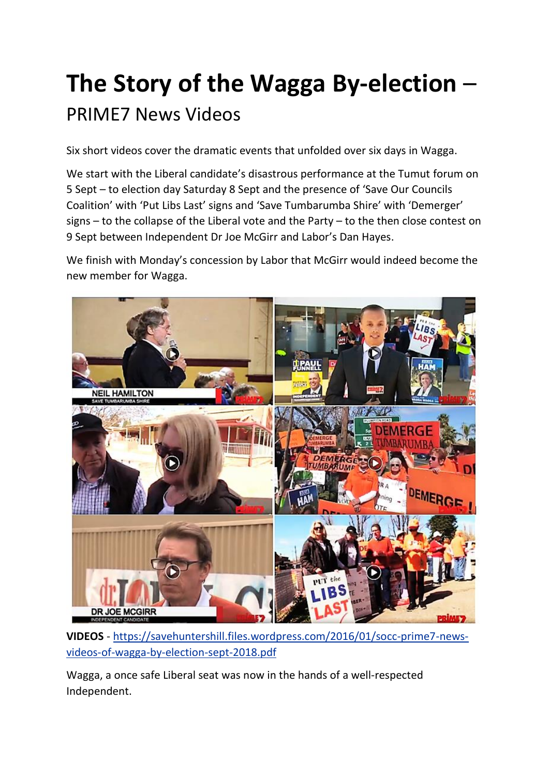## **The Story of the Wagga By-election** – PRIME7 News Videos

Six short videos cover the dramatic events that unfolded over six days in Wagga.

We start with the Liberal candidate's disastrous performance at the Tumut forum on 5 Sept – to election day Saturday 8 Sept and the presence of 'Save Our Councils Coalition' with 'Put Libs Last' signs and 'Save Tumbarumba Shire' with 'Demerger' signs – to the collapse of the Liberal vote and the Party – to the then close contest on 9 Sept between Independent Dr Joe McGirr and Labor's Dan Hayes.

We finish with Monday's concession by Labor that McGirr would indeed become the new member for Wagga.



**VIDEOS** - [https://savehuntershill.files.wordpress.com/2016/01/socc-prime7-news](https://savehuntershill.files.wordpress.com/2016/01/socc-prime7-news-videos-of-wagga-by-election-sept-2018.pdf)[videos-of-wagga-by-election-sept-2018.pdf](https://savehuntershill.files.wordpress.com/2016/01/socc-prime7-news-videos-of-wagga-by-election-sept-2018.pdf)

Wagga, a once safe Liberal seat was now in the hands of a well-respected Independent.